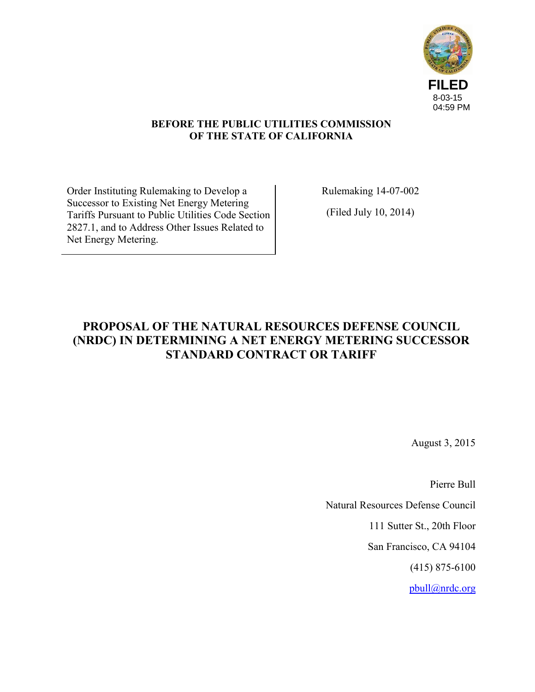

## **BEFORE THE PUBLIC UTILITIES COMMISSION OF THE STATE OF CALIFORNIA**

Order Instituting Rulemaking to Develop a Successor to Existing Net Energy Metering Tariffs Pursuant to Public Utilities Code Section 2827.1, and to Address Other Issues Related to Net Energy Metering.

Rulemaking 14-07-002

(Filed July 10, 2014)

# **PROPOSAL OF THE NATURAL RESOURCES DEFENSE COUNCIL (NRDC) IN DETERMINING A NET ENERGY METERING SUCCESSOR STANDARD CONTRACT OR TARIFF**

August 3, 2015

Pierre Bull

Natural Resources Defense Council

111 Sutter St., 20th Floor

San Francisco, CA 94104

(415) 875-6100

[pbull@nrdc.org](mailto:pbull@nrdc.org)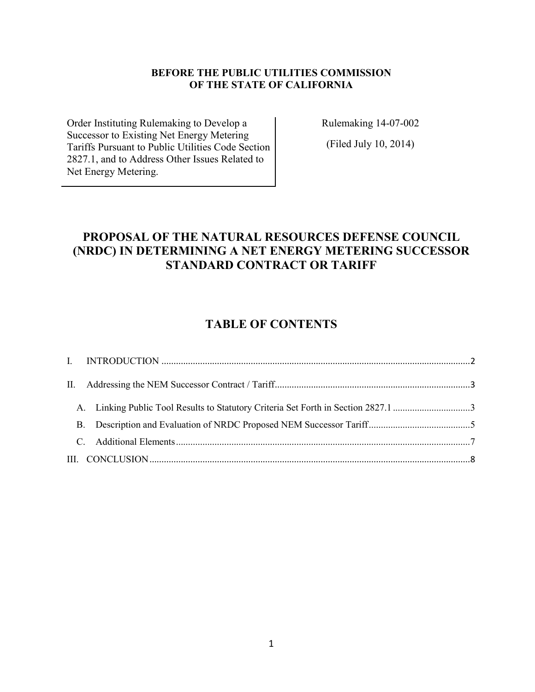### **BEFORE THE PUBLIC UTILITIES COMMISSION OF THE STATE OF CALIFORNIA**

Order Instituting Rulemaking to Develop a Successor to Existing Net Energy Metering Tariffs Pursuant to Public Utilities Code Section 2827.1, and to Address Other Issues Related to Net Energy Metering.

Rulemaking 14-07-002

(Filed July 10, 2014)

# **PROPOSAL OF THE NATURAL RESOURCES DEFENSE COUNCIL (NRDC) IN DETERMINING A NET ENERGY METERING SUCCESSOR STANDARD CONTRACT OR TARIFF**

# **TABLE OF CONTENTS**

| A. Linking Public Tool Results to Statutory Criteria Set Forth in Section 2827.1 3 |  |
|------------------------------------------------------------------------------------|--|
|                                                                                    |  |
|                                                                                    |  |
|                                                                                    |  |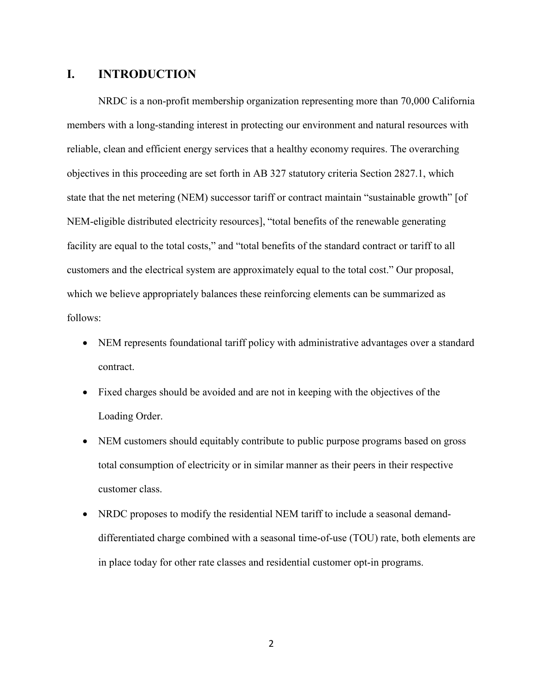# <span id="page-2-0"></span>**I. INTRODUCTION**

NRDC is a non-profit membership organization representing more than 70,000 California members with a long-standing interest in protecting our environment and natural resources with reliable, clean and efficient energy services that a healthy economy requires. The overarching objectives in this proceeding are set forth in AB 327 statutory criteria Section 2827.1, which state that the net metering (NEM) successor tariff or contract maintain "sustainable growth" [of NEM-eligible distributed electricity resources], "total benefits of the renewable generating facility are equal to the total costs," and "total benefits of the standard contract or tariff to all customers and the electrical system are approximately equal to the total cost." Our proposal, which we believe appropriately balances these reinforcing elements can be summarized as follows:

- NEM represents foundational tariff policy with administrative advantages over a standard contract.
- Fixed charges should be avoided and are not in keeping with the objectives of the Loading Order.
- NEM customers should equitably contribute to public purpose programs based on gross total consumption of electricity or in similar manner as their peers in their respective customer class.
- NRDC proposes to modify the residential NEM tariff to include a seasonal demanddifferentiated charge combined with a seasonal time-of-use (TOU) rate, both elements are in place today for other rate classes and residential customer opt-in programs.

2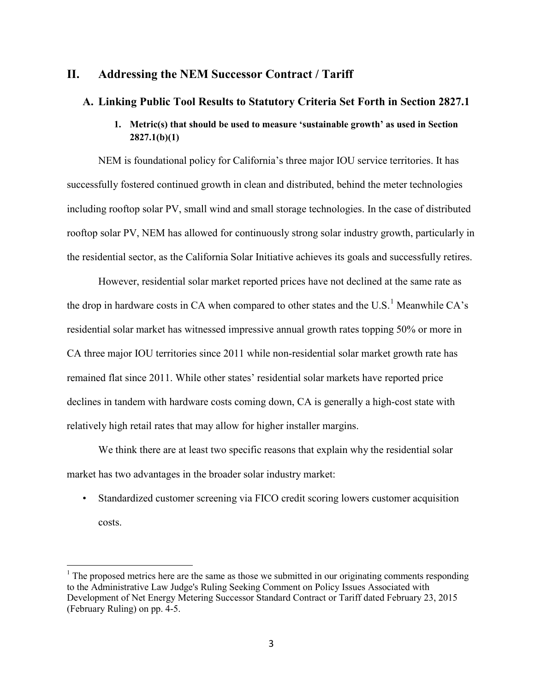# <span id="page-3-0"></span>**II. Addressing the NEM Successor Contract / Tariff**

### <span id="page-3-1"></span>**A. Linking Public Tool Results to Statutory Criteria Set Forth in Section 2827.1**

### **1. Metric(s) that should be used to measure 'sustainable growth' as used in Section 2827.1(b)(1)**

NEM is foundational policy for California's three major IOU service territories. It has successfully fostered continued growth in clean and distributed, behind the meter technologies including rooftop solar PV, small wind and small storage technologies. In the case of distributed rooftop solar PV, NEM has allowed for continuously strong solar industry growth, particularly in the residential sector, as the California Solar Initiative achieves its goals and successfully retires.

However, residential solar market reported prices have not declined at the same rate as the drop in hardware costs in CA when compared to other states and the  $U.S.<sup>1</sup>$  $U.S.<sup>1</sup>$  $U.S.<sup>1</sup>$  Meanwhile CA's residential solar market has witnessed impressive annual growth rates topping 50% or more in CA three major IOU territories since 2011 while non-residential solar market growth rate has remained flat since 2011. While other states' residential solar markets have reported price declines in tandem with hardware costs coming down, CA is generally a high-cost state with relatively high retail rates that may allow for higher installer margins.

We think there are at least two specific reasons that explain why the residential solar market has two advantages in the broader solar industry market:

Standardized customer screening via FICO credit scoring lowers customer acquisition costs.

l

<span id="page-3-2"></span> $<sup>1</sup>$  The proposed metrics here are the same as those we submitted in our originating comments responding</sup> to the Administrative Law Judge's Ruling Seeking Comment on Policy Issues Associated with Development of Net Energy Metering Successor Standard Contract or Tariff dated February 23, 2015 (February Ruling) on pp. 4-5.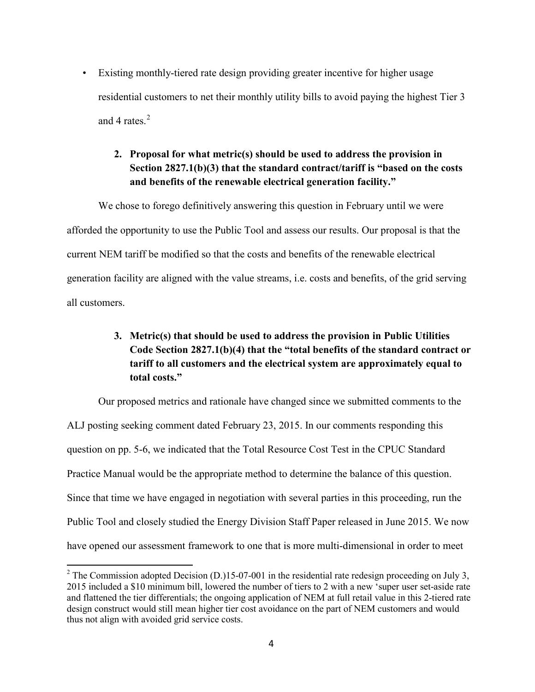• Existing monthly-tiered rate design providing greater incentive for higher usage residential customers to net their monthly utility bills to avoid paying the highest Tier 3 and 4 rates $^2$  $^2$ 

# **2. Proposal for what metric(s) should be used to address the provision in Section 2827.1(b)(3) that the standard contract/tariff is "based on the costs and benefits of the renewable electrical generation facility."**

We chose to forego definitively answering this question in February until we were afforded the opportunity to use the Public Tool and assess our results. Our proposal is that the current NEM tariff be modified so that the costs and benefits of the renewable electrical generation facility are aligned with the value streams, i.e. costs and benefits, of the grid serving all customers.

# **3. Metric(s) that should be used to address the provision in Public Utilities Code Section 2827.1(b)(4) that the "total benefits of the standard contract or tariff to all customers and the electrical system are approximately equal to total costs."**

Our proposed metrics and rationale have changed since we submitted comments to the ALJ posting seeking comment dated February 23, 2015. In our comments responding this question on pp. 5-6, we indicated that the Total Resource Cost Test in the CPUC Standard Practice Manual would be the appropriate method to determine the balance of this question. Since that time we have engaged in negotiation with several parties in this proceeding, run the Public Tool and closely studied the Energy Division Staff Paper released in June 2015. We now have opened our assessment framework to one that is more multi-dimensional in order to meet

<span id="page-4-0"></span> $2$  The Commission adopted Decision (D.)15-07-001 in the residential rate redesign proceeding on July 3, 2015 included a \$10 minimum bill, lowered the number of tiers to 2 with a new 'super user set-aside rate and flattened the tier differentials; the ongoing application of NEM at full retail value in this 2-tiered rate design construct would still mean higher tier cost avoidance on the part of NEM customers and would thus not align with avoided grid service costs.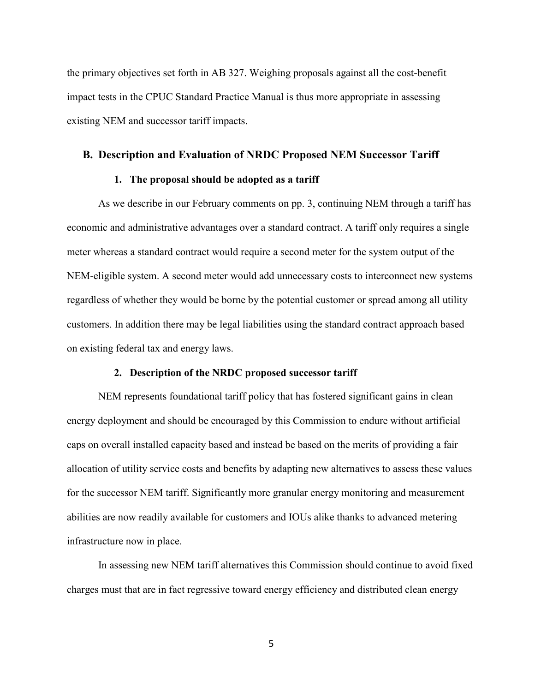the primary objectives set forth in AB 327. Weighing proposals against all the cost-benefit impact tests in the CPUC Standard Practice Manual is thus more appropriate in assessing existing NEM and successor tariff impacts.

#### <span id="page-5-0"></span>**B. Description and Evaluation of NRDC Proposed NEM Successor Tariff**

### **1. The proposal should be adopted as a tariff**

As we describe in our February comments on pp. 3, continuing NEM through a tariff has economic and administrative advantages over a standard contract. A tariff only requires a single meter whereas a standard contract would require a second meter for the system output of the NEM-eligible system. A second meter would add unnecessary costs to interconnect new systems regardless of whether they would be borne by the potential customer or spread among all utility customers. In addition there may be legal liabilities using the standard contract approach based on existing federal tax and energy laws.

## **2. Description of the NRDC proposed successor tariff**

NEM represents foundational tariff policy that has fostered significant gains in clean energy deployment and should be encouraged by this Commission to endure without artificial caps on overall installed capacity based and instead be based on the merits of providing a fair allocation of utility service costs and benefits by adapting new alternatives to assess these values for the successor NEM tariff. Significantly more granular energy monitoring and measurement abilities are now readily available for customers and IOUs alike thanks to advanced metering infrastructure now in place.

In assessing new NEM tariff alternatives this Commission should continue to avoid fixed charges must that are in fact regressive toward energy efficiency and distributed clean energy

5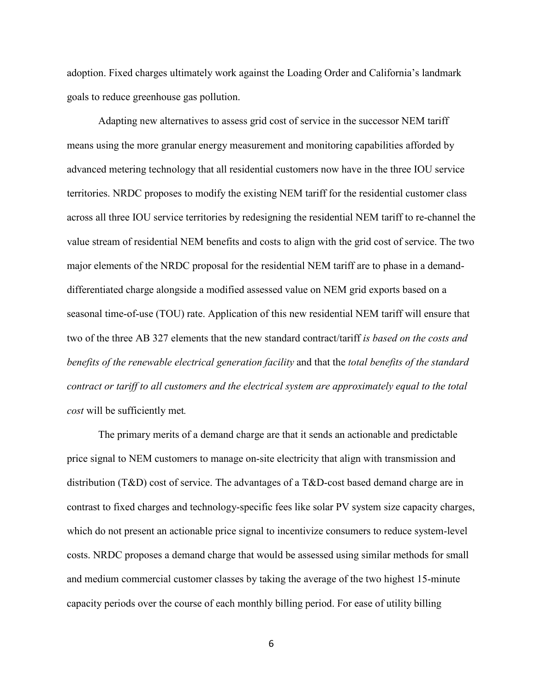adoption. Fixed charges ultimately work against the Loading Order and California's landmark goals to reduce greenhouse gas pollution.

Adapting new alternatives to assess grid cost of service in the successor NEM tariff means using the more granular energy measurement and monitoring capabilities afforded by advanced metering technology that all residential customers now have in the three IOU service territories. NRDC proposes to modify the existing NEM tariff for the residential customer class across all three IOU service territories by redesigning the residential NEM tariff to re-channel the value stream of residential NEM benefits and costs to align with the grid cost of service. The two major elements of the NRDC proposal for the residential NEM tariff are to phase in a demanddifferentiated charge alongside a modified assessed value on NEM grid exports based on a seasonal time-of-use (TOU) rate. Application of this new residential NEM tariff will ensure that two of the three AB 327 elements that the new standard contract/tariff *is based on the costs and benefits of the renewable electrical generation facility* and that the *total benefits of the standard contract or tariff to all customers and the electrical system are approximately equal to the total cost* will be sufficiently met*.*

The primary merits of a demand charge are that it sends an actionable and predictable price signal to NEM customers to manage on-site electricity that align with transmission and distribution (T&D) cost of service. The advantages of a T&D-cost based demand charge are in contrast to fixed charges and technology-specific fees like solar PV system size capacity charges, which do not present an actionable price signal to incentivize consumers to reduce system-level costs. NRDC proposes a demand charge that would be assessed using similar methods for small and medium commercial customer classes by taking the average of the two highest 15-minute capacity periods over the course of each monthly billing period. For ease of utility billing

6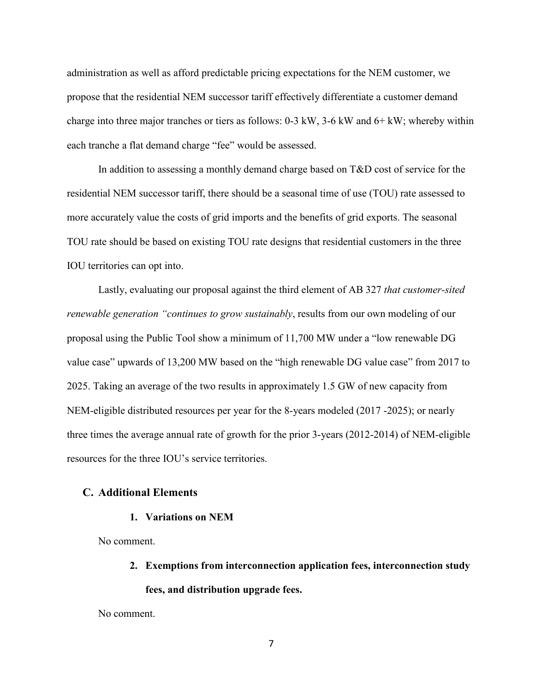administration as well as afford predictable pricing expectations for the NEM customer, we propose that the residential NEM successor tariff effectively differentiate a customer demand charge into three major tranches or tiers as follows: 0-3 kW, 3-6 kW and 6+ kW; whereby within each tranche a flat demand charge "fee" would be assessed.

In addition to assessing a monthly demand charge based on T&D cost of service for the residential NEM successor tariff, there should be a seasonal time of use (TOU) rate assessed to more accurately value the costs of grid imports and the benefits of grid exports. The seasonal TOU rate should be based on existing TOU rate designs that residential customers in the three IOU territories can opt into.

Lastly, evaluating our proposal against the third element of AB 327 *that customer-sited renewable generation "continues to grow sustainably*, results from our own modeling of our proposal using the Public Tool show a minimum of 11,700 MW under a "low renewable DG value case" upwards of 13,200 MW based on the "high renewable DG value case" from 2017 to 2025. Taking an average of the two results in approximately 1.5 GW of new capacity from NEM-eligible distributed resources per year for the 8-years modeled (2017 -2025); or nearly three times the average annual rate of growth for the prior 3-years (2012-2014) of NEM-eligible resources for the three IOU's service territories.

#### <span id="page-7-0"></span>**C. Additional Elements**

#### **1. Variations on NEM**

No comment.

- **2. Exemptions from interconnection application fees, interconnection study** 
	- **fees, and distribution upgrade fees.**

No comment.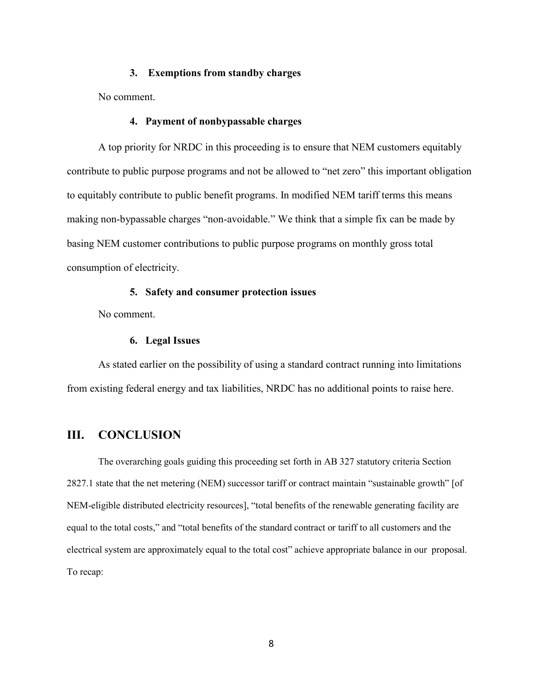#### **3. Exemptions from standby charges**

No comment.

#### **4. Payment of nonbypassable charges**

A top priority for NRDC in this proceeding is to ensure that NEM customers equitably contribute to public purpose programs and not be allowed to "net zero" this important obligation to equitably contribute to public benefit programs. In modified NEM tariff terms this means making non-bypassable charges "non-avoidable." We think that a simple fix can be made by basing NEM customer contributions to public purpose programs on monthly gross total consumption of electricity.

#### **5. Safety and consumer protection issues**

No comment.

#### **6. Legal Issues**

As stated earlier on the possibility of using a standard contract running into limitations from existing federal energy and tax liabilities, NRDC has no additional points to raise here.

### <span id="page-8-0"></span>**III. CONCLUSION**

The overarching goals guiding this proceeding set forth in AB 327 statutory criteria Section 2827.1 state that the net metering (NEM) successor tariff or contract maintain "sustainable growth" [of NEM-eligible distributed electricity resources], "total benefits of the renewable generating facility are equal to the total costs," and "total benefits of the standard contract or tariff to all customers and the electrical system are approximately equal to the total cost" achieve appropriate balance in our proposal. To recap: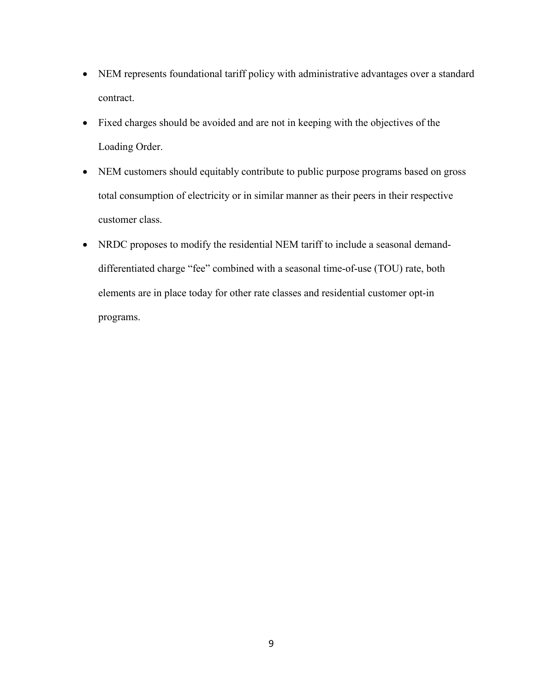- NEM represents foundational tariff policy with administrative advantages over a standard contract.
- Fixed charges should be avoided and are not in keeping with the objectives of the Loading Order.
- NEM customers should equitably contribute to public purpose programs based on gross total consumption of electricity or in similar manner as their peers in their respective customer class.
- NRDC proposes to modify the residential NEM tariff to include a seasonal demanddifferentiated charge "fee" combined with a seasonal time-of-use (TOU) rate, both elements are in place today for other rate classes and residential customer opt-in programs.